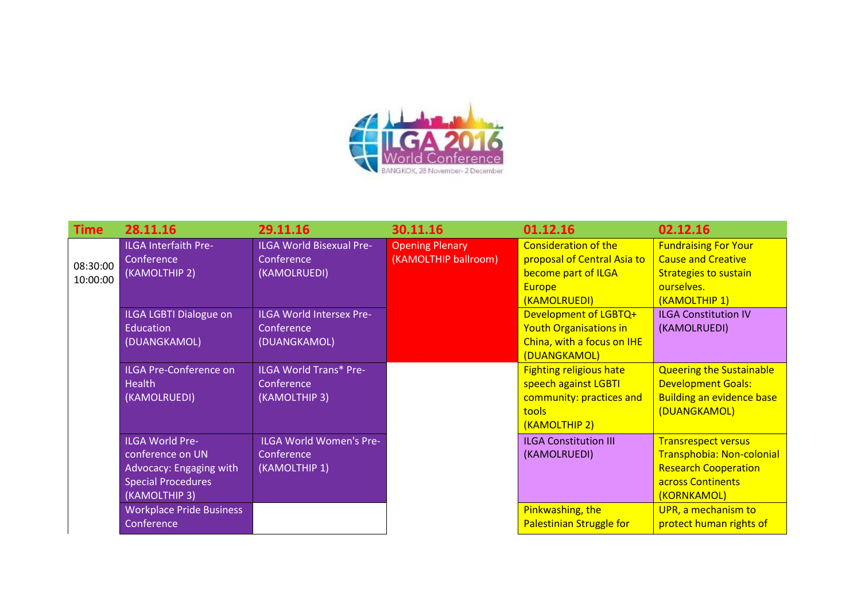

| Time                 | 28.11.16                                                                                                            | 29.11.16                                                      | 30.11.16                                       | 01.12.16                                                                                                     | 02.12.16                                                                                                                   |
|----------------------|---------------------------------------------------------------------------------------------------------------------|---------------------------------------------------------------|------------------------------------------------|--------------------------------------------------------------------------------------------------------------|----------------------------------------------------------------------------------------------------------------------------|
| 08:30:00<br>10:00:00 | <b>ILGA Interfaith Pre-</b><br>Conference<br>(KAMOLTHIP 2)                                                          | <b>ILGA World Bisexual Pre-</b><br>Conference<br>(KAMOLRUEDI) | <b>Opening Plenary</b><br>(KAMOLTHIP ballroom) | <b>Consideration of the</b><br>proposal of Central Asia to<br>become part of ILGA                            | <b>Fundraising For Your</b><br><b>Cause and Creative</b><br><b>Strategies to sustain</b>                                   |
|                      |                                                                                                                     |                                                               |                                                | <b>Europe</b><br>(KAMOLRUEDI)                                                                                | ourselves.<br>(KAMOLTHIP 1)                                                                                                |
|                      | ILGA LGBTI Dialogue on<br>Education<br>(DUANGKAMOL)                                                                 | ILGA World Intersex Pre-<br>Conference<br>(DUANGKAMOL)        |                                                | Development of LGBTQ+<br><b>Youth Organisations in</b><br>China, with a focus on IHE                         | <b>ILGA Constitution IV</b><br>(KAMOLRUEDI)                                                                                |
|                      |                                                                                                                     |                                                               |                                                | (DUANGKAMOL)                                                                                                 |                                                                                                                            |
|                      | ILGA Pre-Conference on<br><b>Health</b><br>(KAMOLRUEDI)                                                             | <b>ILGA World Trans* Pre-</b><br>Conference<br>(KAMOLTHIP 3)  |                                                | <b>Fighting religious hate</b><br>speech against LGBTI<br>community: practices and<br>tools<br>(KAMOLTHIP 2) | <b>Queering the Sustainable</b><br><b>Development Goals:</b><br><b>Building an evidence base</b><br>(DUANGKAMOL)           |
|                      | <b>ILGA World Pre-</b><br>conference on UN<br>Advocacy: Engaging with<br><b>Special Procedures</b><br>(KAMOLTHIP 3) | ILGA World Women's Pre-<br>Conference<br>(KAMOLTHIP 1)        |                                                | <b>ILGA Constitution III</b><br>(KAMOLRUEDI)                                                                 | <b>Transrespect versus</b><br>Transphobia: Non-colonial<br><b>Research Cooperation</b><br>across Continents<br>(KORNKAMOL) |
|                      | <b>Workplace Pride Business</b><br>Conference                                                                       |                                                               |                                                | Pinkwashing, the<br><b>Palestinian Struggle for</b>                                                          | UPR, a mechanism to<br>protect human rights of                                                                             |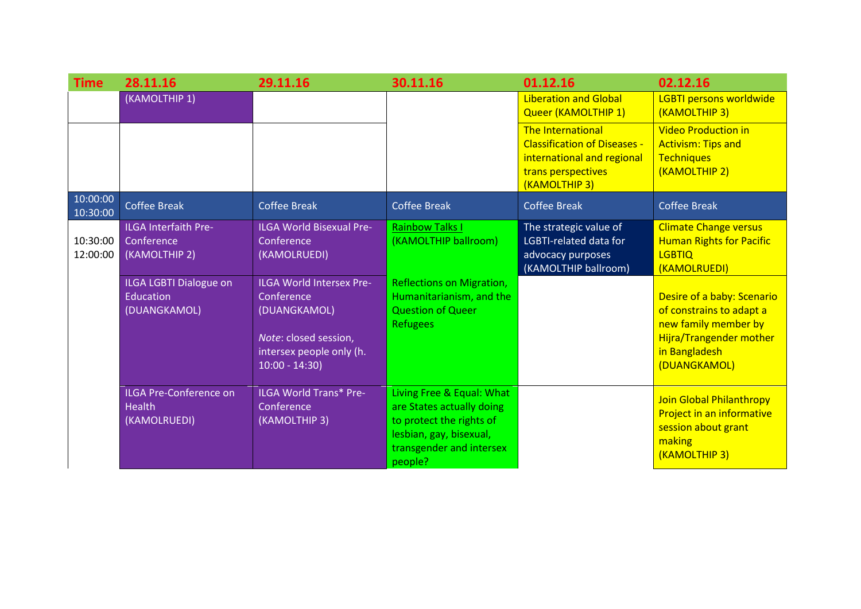| Time                 | 28.11.16                                                                                                                        | 29.11.16                                                                                                                                                                     | 30.11.16                                                                                                                                               | 01.12.16                                                                                                                      | 02.12.16                                                                                                                                                                                                                       |
|----------------------|---------------------------------------------------------------------------------------------------------------------------------|------------------------------------------------------------------------------------------------------------------------------------------------------------------------------|--------------------------------------------------------------------------------------------------------------------------------------------------------|-------------------------------------------------------------------------------------------------------------------------------|--------------------------------------------------------------------------------------------------------------------------------------------------------------------------------------------------------------------------------|
|                      | (KAMOLTHIP 1)                                                                                                                   |                                                                                                                                                                              |                                                                                                                                                        | <b>Liberation and Global</b><br>Queer (KAMOLTHIP 1)                                                                           | LGBTI persons worldwide<br>(KAMOLTHIP 3)                                                                                                                                                                                       |
|                      |                                                                                                                                 |                                                                                                                                                                              |                                                                                                                                                        | The International<br><b>Classification of Diseases -</b><br>international and regional<br>trans perspectives<br>(KAMOLTHIP 3) | <b>Video Production in</b><br><b>Activism: Tips and</b><br><b>Techniques</b><br>(KAMOLTHIP 2)                                                                                                                                  |
| 10:00:00<br>10:30:00 | <b>Coffee Break</b>                                                                                                             | <b>Coffee Break</b>                                                                                                                                                          | <b>Coffee Break</b>                                                                                                                                    | <b>Coffee Break</b>                                                                                                           | <b>Coffee Break</b>                                                                                                                                                                                                            |
| 10:30:00<br>12:00:00 | <b>ILGA Interfaith Pre-</b><br>Conference<br>(KAMOLTHIP 2)<br><b>ILGA LGBTI Dialogue on</b><br><b>Education</b><br>(DUANGKAMOL) | <b>ILGA World Bisexual Pre-</b><br>Conference<br>(KAMOLRUEDI)<br>ILGA World Intersex Pre-<br>Conference<br>(DUANGKAMOL)<br>Note: closed session,<br>intersex people only (h. | <b>Rainbow Talks I</b><br>(KAMOLTHIP ballroom)<br><b>Reflections on Migration,</b><br>Humanitarianism, and the<br><b>Question of Queer</b><br>Refugees | The strategic value of<br>LGBTI-related data for<br>advocacy purposes<br>(KAMOLTHIP ballroom)                                 | <b>Climate Change versus</b><br><b>Human Rights for Pacific</b><br><b>LGBTIQ</b><br>(KAMOLRUEDI)<br>Desire of a baby: Scenario<br>of constrains to adapt a<br>new family member by<br>Hijra/Trangender mother<br>in Bangladesh |
|                      |                                                                                                                                 | $10:00 - 14:30$                                                                                                                                                              |                                                                                                                                                        |                                                                                                                               | (DUANGKAMOL)                                                                                                                                                                                                                   |
|                      | <b>ILGA Pre-Conference on</b><br><b>Health</b><br>(KAMOLRUEDI)                                                                  | <b>ILGA World Trans* Pre-</b><br><b>Conference</b><br>(KAMOLTHIP 3)                                                                                                          | Living Free & Equal: What<br>are States actually doing<br>to protect the rights of<br>lesbian, gay, bisexual,<br>transgender and intersex<br>people?   |                                                                                                                               | <b>Join Global Philanthropy</b><br>Project in an informative<br>session about grant<br>making<br>(KAMOLTHIP 3)                                                                                                                 |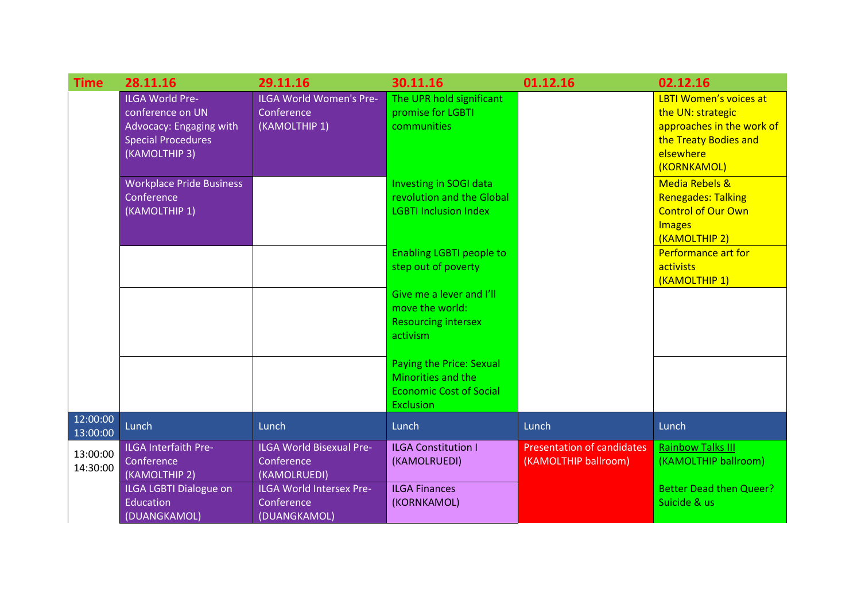| <b>Time</b>          | 28.11.16                                                                                                            | 29.11.16                                                      | 30.11.16                                                                                                    | 01.12.16                                                  | 02.12.16                                                                                                                             |
|----------------------|---------------------------------------------------------------------------------------------------------------------|---------------------------------------------------------------|-------------------------------------------------------------------------------------------------------------|-----------------------------------------------------------|--------------------------------------------------------------------------------------------------------------------------------------|
|                      | <b>ILGA World Pre-</b><br>conference on UN<br>Advocacy: Engaging with<br><b>Special Procedures</b><br>(KAMOLTHIP 3) | ILGA World Women's Pre-<br>Conference<br>(KAMOLTHIP 1)        | The UPR hold significant<br>promise for LGBTI<br>communities                                                |                                                           | <b>LBTI Women's voices at</b><br>the UN: strategic<br>approaches in the work of<br>the Treaty Bodies and<br>elsewhere<br>(KORNKAMOL) |
|                      | <b>Workplace Pride Business</b><br>Conference<br>(KAMOLTHIP 1)                                                      |                                                               | Investing in SOGI data<br>revolution and the Global<br><b>LGBTI Inclusion Index</b>                         |                                                           | <b>Media Rebels &amp;</b><br><b>Renegades: Talking</b><br><b>Control of Our Own</b><br><b>Images</b><br>(KAMOLTHIP 2)                |
|                      |                                                                                                                     |                                                               | <b>Enabling LGBTI people to</b><br>step out of poverty                                                      |                                                           | Performance art for<br>activists<br>(KAMOLTHIP 1)                                                                                    |
|                      |                                                                                                                     |                                                               | Give me a lever and I'll<br>move the world:<br><b>Resourcing intersex</b><br>activism                       |                                                           |                                                                                                                                      |
|                      |                                                                                                                     |                                                               | <b>Paying the Price: Sexual</b><br>Minorities and the<br><b>Economic Cost of Social</b><br><b>Exclusion</b> |                                                           |                                                                                                                                      |
| 12:00:00<br>13:00:00 | Lunch                                                                                                               | Lunch                                                         | Lunch                                                                                                       | Lunch                                                     | Lunch                                                                                                                                |
| 13:00:00<br>14:30:00 | <b>ILGA Interfaith Pre-</b><br>Conference<br>(KAMOLTHIP 2)                                                          | <b>ILGA World Bisexual Pre-</b><br>Conference<br>(KAMOLRUEDI) | <b>ILGA Constitution I</b><br>(KAMOLRUEDI)                                                                  | <b>Presentation of candidates</b><br>(KAMOLTHIP ballroom) | <b>Rainbow Talks III</b><br>(KAMOLTHIP ballroom)                                                                                     |
|                      | <b>ILGA LGBTI Dialogue on</b><br><b>Education</b><br>(DUANGKAMOL)                                                   | <b>ILGA World Intersex Pre-</b><br>Conference<br>(DUANGKAMOL) | <b>ILGA Finances</b><br>(KORNKAMOL)                                                                         |                                                           | <b>Better Dead then Queer?</b><br>Suicide & us                                                                                       |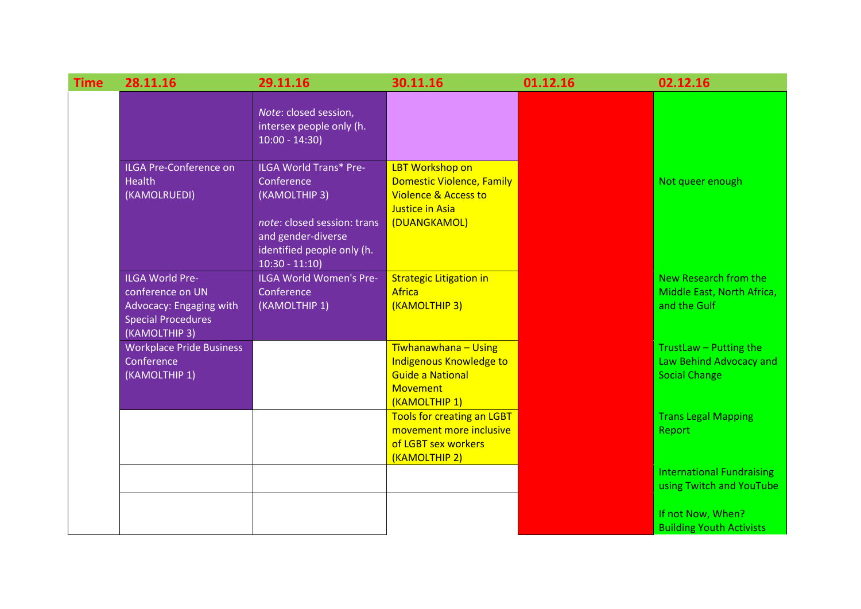| <b>Time</b> | 28.11.16                                                                                                            | 29.11.16                                                                                    | 30.11.16                                                                                                                  | 01.12.16 | 02.12.16                                                                  |
|-------------|---------------------------------------------------------------------------------------------------------------------|---------------------------------------------------------------------------------------------|---------------------------------------------------------------------------------------------------------------------------|----------|---------------------------------------------------------------------------|
|             |                                                                                                                     | Note: closed session,<br>intersex people only (h.<br>$10:00 - 14:30$                        |                                                                                                                           |          |                                                                           |
|             | <b>ILGA Pre-Conference on</b><br><b>Health</b><br>(KAMOLRUEDI)                                                      | <b>ILGA World Trans* Pre-</b><br>Conference<br>(KAMOLTHIP 3)<br>note: closed session: trans | <b>LBT Workshop on</b><br>Domestic Violence, Family<br><b>Violence &amp; Access to</b><br>Justice in Asia<br>(DUANGKAMOL) |          | Not queer enough                                                          |
|             |                                                                                                                     | and gender-diverse<br>identified people only (h.<br>$10:30 - 11:10$                         |                                                                                                                           |          |                                                                           |
|             | <b>ILGA World Pre-</b><br>conference on UN<br>Advocacy: Engaging with<br><b>Special Procedures</b><br>(KAMOLTHIP 3) | ILGA World Women's Pre-<br>Conference<br>(KAMOLTHIP 1)                                      | <b>Strategic Litigation in</b><br><b>Africa</b><br>(KAMOLTHIP 3)                                                          |          | New Research from the<br>Middle East, North Africa,<br>and the Gulf       |
|             | <b>Workplace Pride Business</b><br>Conference<br>(KAMOLTHIP 1)                                                      |                                                                                             | Tīwhanawhana - Using<br>Indigenous Knowledge to<br><b>Guide a National</b><br><b>Movement</b><br>(KAMOLTHIP 1)            |          | TrustLaw - Putting the<br>Law Behind Advocacy and<br><b>Social Change</b> |
|             |                                                                                                                     |                                                                                             | <b>Tools for creating an LGBT</b><br>movement more inclusive<br>of LGBT sex workers<br>(KAMOLTHIP 2)                      |          | <b>Trans Legal Mapping</b><br>Report                                      |
|             |                                                                                                                     |                                                                                             |                                                                                                                           |          | <b>International Fundraising</b><br>using Twitch and YouTube              |
|             |                                                                                                                     |                                                                                             |                                                                                                                           |          | If not Now, When?<br><b>Building Youth Activists</b>                      |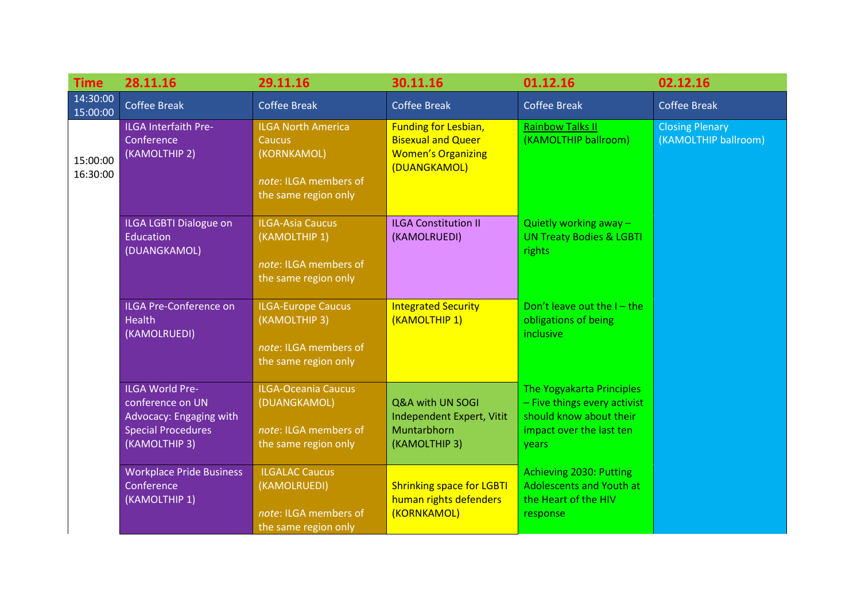| <b>Time</b>          | 28.11.16                                                                                                            | 29.11.16                                                                                                   | 30.11.16                                                                                              | 01.12.16                                                                                                                  | 02.12.16                                       |
|----------------------|---------------------------------------------------------------------------------------------------------------------|------------------------------------------------------------------------------------------------------------|-------------------------------------------------------------------------------------------------------|---------------------------------------------------------------------------------------------------------------------------|------------------------------------------------|
| 14:30:00<br>15:00:00 | <b>Coffee Break</b>                                                                                                 | <b>Coffee Break</b>                                                                                        | <b>Coffee Break</b>                                                                                   | <b>Coffee Break</b>                                                                                                       | <b>Coffee Break</b>                            |
| 15:00:00<br>16:30:00 | <b>ILGA Interfaith Pre-</b><br>Conference<br>(KAMOLTHIP 2)                                                          | <b>ILGA North America</b><br><b>Caucus</b><br>(KORNKAMOL)<br>note: ILGA members of<br>the same region only | <b>Funding for Lesbian,</b><br><b>Bisexual and Queer</b><br><b>Women's Organizing</b><br>(DUANGKAMOL) | <b>Rainbow Talks II</b><br>(KAMOLTHIP ballroom)                                                                           | <b>Closing Plenary</b><br>(KAMOLTHIP ballroom) |
|                      | <b>ILGA LGBTI Dialogue on</b><br>Education<br>(DUANGKAMOL)                                                          | <b>ILGA-Asia Caucus</b><br>(KAMOLTHIP 1)<br>note: ILGA members of<br>the same region only                  | <b>ILGA Constitution II</b><br>(KAMOLRUEDI)                                                           | Quietly working away $-$<br><b>UN Treaty Bodies &amp; LGBTI</b><br>rights                                                 |                                                |
|                      | <b>ILGA Pre-Conference on</b><br><b>Health</b><br>(KAMOLRUEDI)                                                      | <b>ILGA-Europe Caucus</b><br>(KAMOLTHIP 3)<br>note: ILGA members of<br>the same region only                | <b>Integrated Security</b><br>(KAMOLTHIP 1)                                                           | Don't leave out the $I$ – the<br>obligations of being<br><i>inclusive</i>                                                 |                                                |
|                      | <b>ILGA World Pre-</b><br>conference on UN<br>Advocacy: Engaging with<br><b>Special Procedures</b><br>(KAMOLTHIP 3) | <b>ILGA-Oceania Caucus</b><br>(DUANGKAMOL)<br>note: ILGA members of<br>the same region only                | Q&A with UN SOGI<br>Independent Expert, Vitit<br>Muntarbhorn<br>(KAMOLTHIP 3)                         | The Yogyakarta Principles<br>- Five things every activist<br>should know about their<br>impact over the last ten<br>years |                                                |
|                      | <b>Workplace Pride Business</b><br>Conference<br>(KAMOLTHIP 1)                                                      | <b>ILGALAC Caucus</b><br>(KAMOLRUEDI)<br>note: ILGA members of<br>the same region only                     | <b>Shrinking space for LGBTI</b><br>human rights defenders<br>(KORNKAMOL)                             | Achieving 2030: Putting<br><b>Adolescents and Youth at</b><br>the Heart of the HIV<br>response                            |                                                |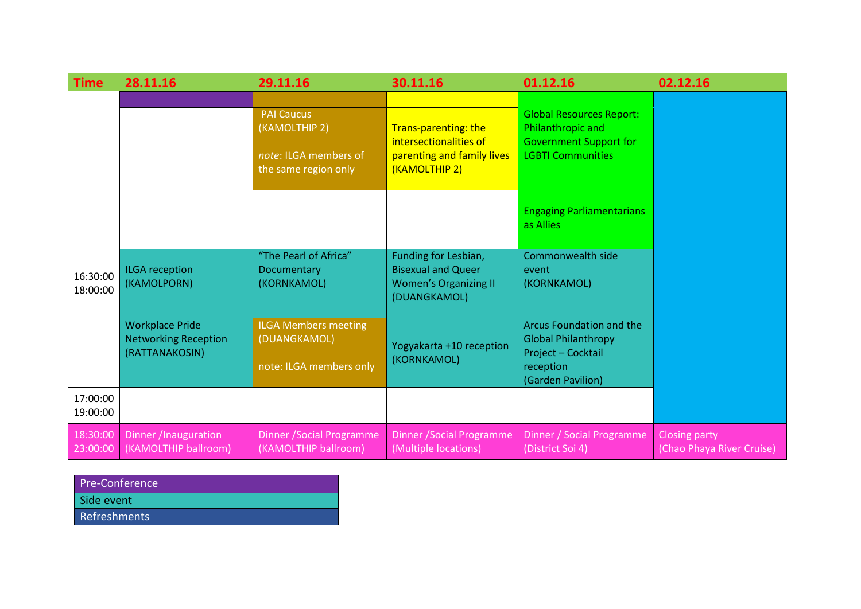| Time                 | 28.11.16                                                                | 29.11.16                                                                            | 30.11.16                                                                                          | 01.12.16                                                                                                          | 02.12.16                                          |
|----------------------|-------------------------------------------------------------------------|-------------------------------------------------------------------------------------|---------------------------------------------------------------------------------------------------|-------------------------------------------------------------------------------------------------------------------|---------------------------------------------------|
|                      |                                                                         | <b>PAI Caucus</b><br>(KAMOLTHIP 2)<br>note: ILGA members of<br>the same region only | Trans-parenting: the<br>intersectionalities of<br>parenting and family lives<br>(KAMOLTHIP 2)     | <b>Global Resources Report:</b><br>Philanthropic and<br><b>Government Support for</b><br><b>LGBTI Communities</b> |                                                   |
|                      |                                                                         |                                                                                     |                                                                                                   | <b>Engaging Parliamentarians</b><br>as Allies                                                                     |                                                   |
| 16:30:00<br>18:00:00 | <b>ILGA</b> reception<br>(KAMOLPORN)                                    | "The Pearl of Africa"<br>Documentary<br>(KORNKAMOL)                                 | Funding for Lesbian,<br><b>Bisexual and Queer</b><br><b>Women's Organizing II</b><br>(DUANGKAMOL) | Commonwealth side<br>event<br>(KORNKAMOL)                                                                         |                                                   |
|                      | <b>Workplace Pride</b><br><b>Networking Reception</b><br>(RATTANAKOSIN) | <b>ILGA Members meeting</b><br>(DUANGKAMOL)<br>note: ILGA members only              | Yogyakarta +10 reception<br>(KORNKAMOL)                                                           | Arcus Foundation and the<br><b>Global Philanthropy</b><br>Project - Cocktail<br>reception<br>(Garden Pavilion)    |                                                   |
| 17:00:00<br>19:00:00 |                                                                         |                                                                                     |                                                                                                   |                                                                                                                   |                                                   |
| 18:30:00<br>23:00:00 | Dinner /Inauguration<br>(KAMOLTHIP ballroom)                            | <b>Dinner / Social Programme</b><br>(KAMOLTHIP ballroom)                            | <b>Dinner / Social Programme</b><br>(Multiple locations)                                          | Dinner / Social Programme<br>(District Soi 4)                                                                     | <b>Closing party</b><br>(Chao Phaya River Cruise) |

| <b>Pre-Conference</b> |
|-----------------------|
| Side event            |
| <b>Refreshments</b>   |